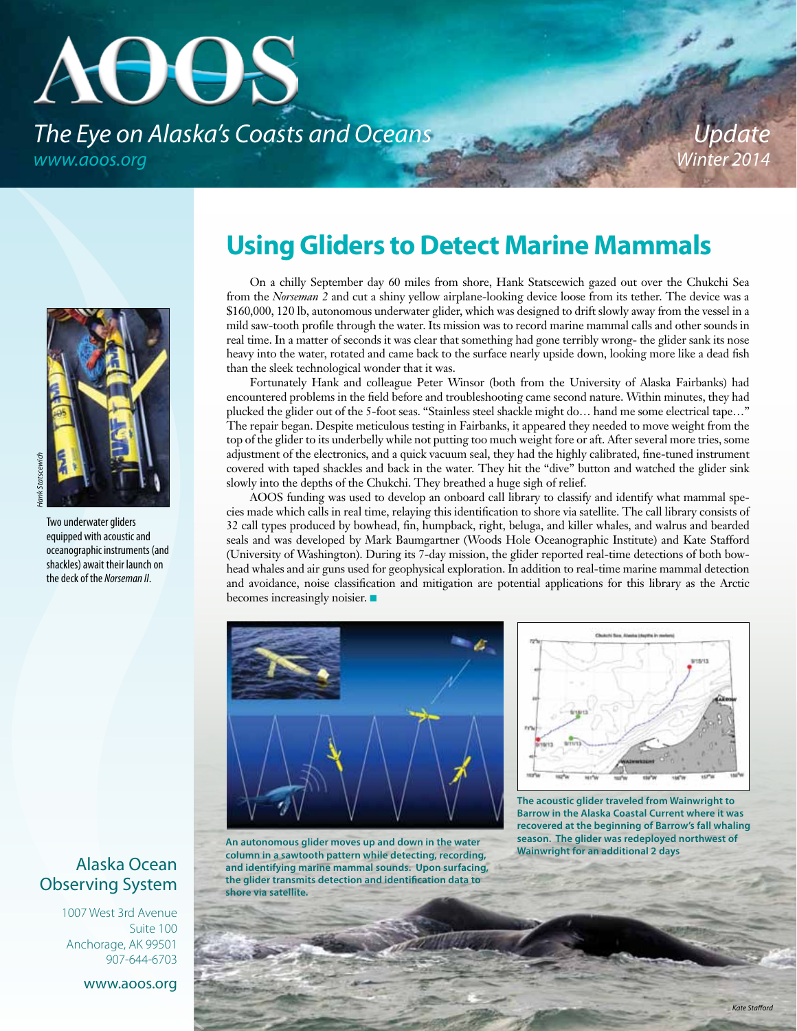# AOOS *The Eye on Alaska's Coasts and Oceans www.aoos.org*

*Update Winter 2014*



Two underwater gliders equipped with acoustic and oceanographic instruments (and shackles) await their launch on

the deck of the *Norseman II*.

# **Using Gliders to Detect Marine Mammals**

On a chilly September day 60 miles from shore, Hank Statscewich gazed out over the Chukchi Sea from the *Norseman 2* and cut a shiny yellow airplane-looking device loose from its tether. The device was a \$160,000, 120 lb, autonomous underwater glider, which was designed to drift slowly away from the vessel in a mild saw-tooth profile through the water. Its mission was to record marine mammal calls and other sounds in real time. In a matter of seconds it was clear that something had gone terribly wrong- the glider sank its nose heavy into the water, rotated and came back to the surface nearly upside down, looking more like a dead fish than the sleek technological wonder that it was.

Fortunately Hank and colleague Peter Winsor (both from the University of Alaska Fairbanks) had encountered problems in the field before and troubleshooting came second nature. Within minutes, they had plucked the glider out of the 5-foot seas. "Stainless steel shackle might do… hand me some electrical tape…" The repair began. Despite meticulous testing in Fairbanks, it appeared they needed to move weight from the top of the glider to its underbelly while not putting too much weight fore or aft. After several more tries, some adjustment of the electronics, and a quick vacuum seal, they had the highly calibrated, fine-tuned instrument covered with taped shackles and back in the water. They hit the "dive" button and watched the glider sink slowly into the depths of the Chukchi. They breathed a huge sigh of relief.

AOOS funding was used to develop an onboard call library to classify and identify what mammal species made which calls in real time, relaying this identification to shore via satellite. The call library consists of 32 call types produced by bowhead, fin, humpback, right, beluga, and killer whales, and walrus and bearded seals and was developed by Mark Baumgartner (Woods Hole Oceanographic Institute) and Kate Stafford (University of Washington). During its 7-day mission, the glider reported real-time detections of both bowhead whales and air guns used for geophysical exploration. In addition to real-time marine mammal detection and avoidance, noise classification and mitigation are potential applications for this library as the Arctic becomes increasingly noisier.  $\blacksquare$ 



**An autonomous glider moves up and down in the water column in a sawtooth pattern while detecting, recording, and identifying marine mammal sounds. Upon surfacing, the glider transmits detection and identification data to shore via satellite.**



**The acoustic glider traveled from Wainwright to Barrow in the Alaska Coastal Current where it was recovered at the beginning of Barrow's fall whaling season. The glider was redeployed northwest of Wainwright for an additional 2 days**

#### Alaska Ocean Observing System

1007 West 3rd Avenue Suite 100 Anchorage, AK 99501 907-644-6703

www.aoos.org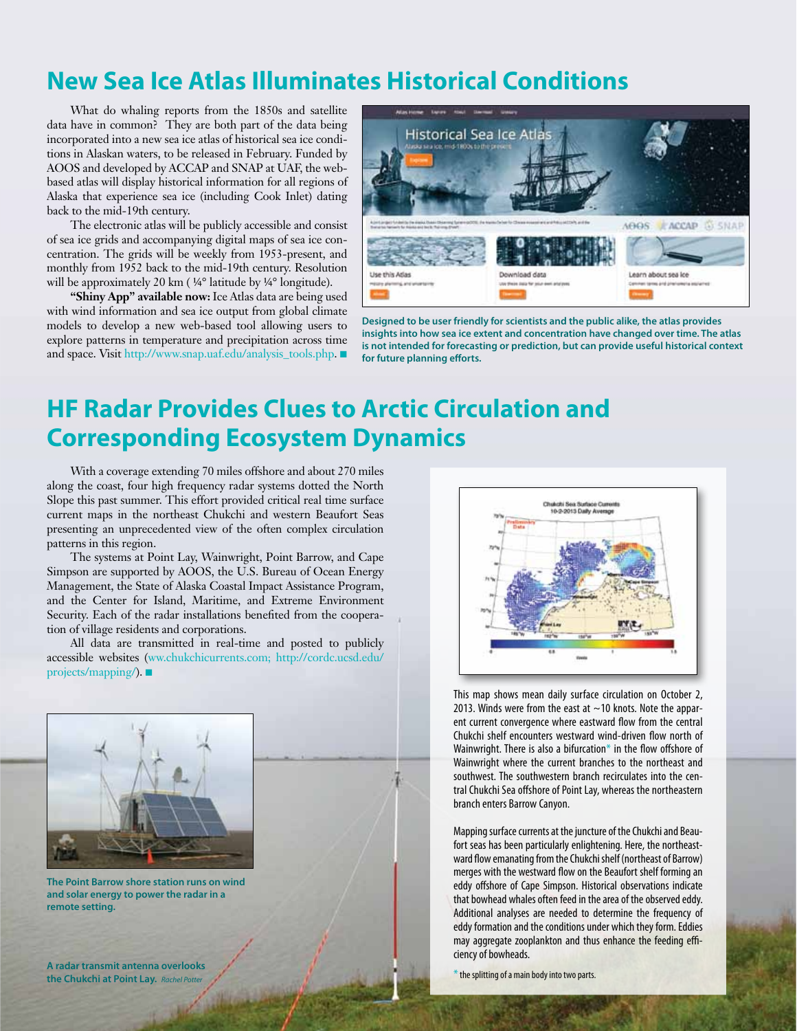## **New Sea Ice Atlas Illuminates Historical Conditions**

What do whaling reports from the 1850s and satellite data have in common? They are both part of the data being incorporated into a new sea ice atlas of historical sea ice conditions in Alaskan waters, to be released in February. Funded by AOOS and developed by ACCAP and SNAP at UAF, the webbased atlas will display historical information for all regions of Alaska that experience sea ice (including Cook Inlet) dating back to the mid-19th century.

The electronic atlas will be publicly accessible and consist of sea ice grids and accompanying digital maps of sea ice concentration. The grids will be weekly from 1953-present, and monthly from 1952 back to the mid-19th century. Resolution will be approximately 20 km ( $\frac{1}{4}$ ° latitude by  $\frac{1}{4}$ ° longitude).

**"Shiny App" available now:** Ice Atlas data are being used with wind information and sea ice output from global climate models to develop a new web-based tool allowing users to explore patterns in temperature and precipitation across time and space. Visit http://www.snap.uaf.edu/analysis\_tools.php.



**Designed to be user friendly for scientists and the public alike, the atlas provides insights into how sea ice extent and concentration have changed over time. The atlas is not intended for forecasting or prediction, but can provide useful historical context for future planning efforts.**

### **HF Radar Provides Clues to Arctic Circulation and Corresponding Ecosystem Dynamics**

With a coverage extending 70 miles offshore and about 270 miles along the coast, four high frequency radar systems dotted the North Slope this past summer. This effort provided critical real time surface current maps in the northeast Chukchi and western Beaufort Seas presenting an unprecedented view of the often complex circulation patterns in this region.

The systems at Point Lay, Wainwright, Point Barrow, and Cape Simpson are supported by AOOS, the U.S. Bureau of Ocean Energy Management, the State of Alaska Coastal Impact Assistance Program, and the Center for Island, Maritime, and Extreme Environment Security. Each of the radar installations benefited from the cooperation of village residents and corporations.

All data are transmitted in real-time and posted to publicly accessible websites (ww.chukchicurrents.com; http://cordc.ucsd.edu/ projects/mapping/).  $\blacksquare$ 



**The Point Barrow shore station runs on wind and solar energy to power the radar in a remote setting.**

**A radar transmit antenna overlooks the Chukchi at Point Lay.** *Rachel Potter*



This map shows mean daily surface circulation on October 2, 2013. Winds were from the east at  $\sim$  10 knots. Note the apparent current convergence where eastward flow from the central Chukchi shelf encounters westward wind-driven flow north of Wainwright. There is also a bifurcation $*$  in the flow offshore of Wainwright where the current branches to the northeast and southwest. The southwestern branch recirculates into the central Chukchi Sea offshore of Point Lay, whereas the northeastern branch enters Barrow Canyon.

Mapping surface currents at the juncture of the Chukchi and Beaufort seas has been particularly enlightening. Here, the northeastward flow emanating from the Chukchi shelf (northeast of Barrow) merges with the westward flow on the Beaufort shelf forming an eddy offshore of Cape Simpson. Historical observations indicate that bowhead whales often feed in the area of the observed eddy. Additional analyses are needed to determine the frequency of eddy formation and the conditions under which they form. Eddies may aggregate zooplankton and thus enhance the feeding efficiency of bowheads.

 $*$  the splitting of a main body into two parts.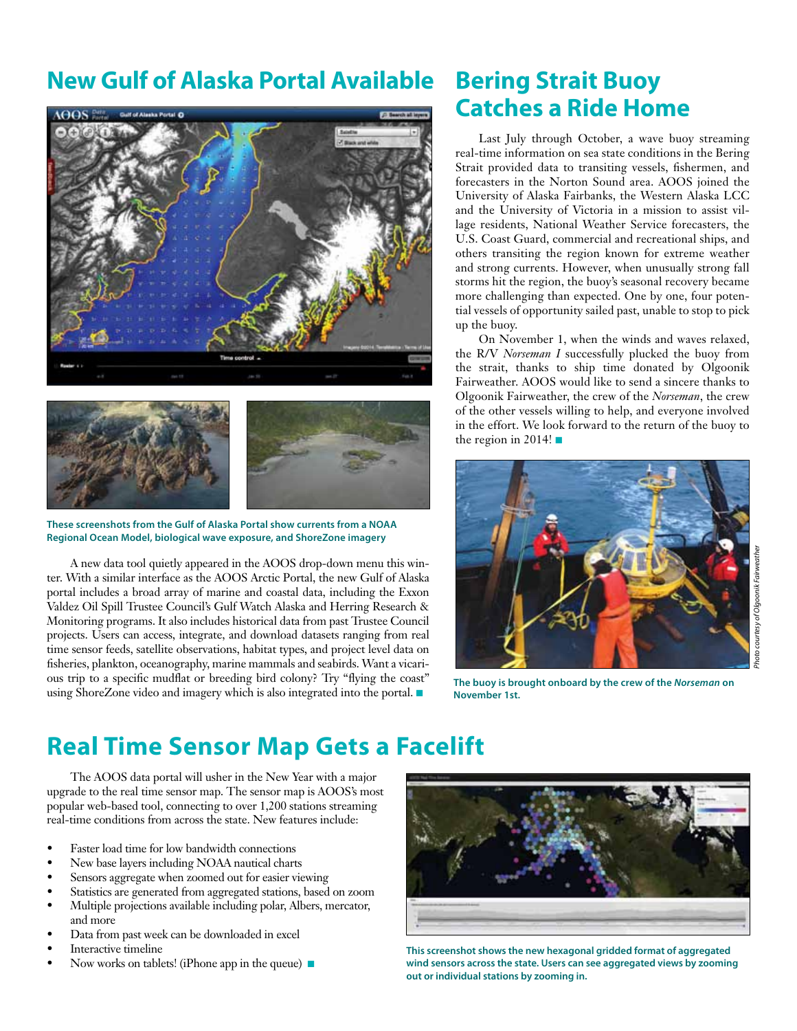#### **New Gulf of Alaska Portal Available Bering Strait Buoy**





**These screenshots from the Gulf of Alaska Portal show currents from a NOAA Regional Ocean Model, biological wave exposure, and ShoreZone imagery**

A new data tool quietly appeared in the AOOS drop-down menu this winter. With a similar interface as the AOOS Arctic Portal, the new Gulf of Alaska portal includes a broad array of marine and coastal data, including the Exxon Valdez Oil Spill Trustee Council's Gulf Watch Alaska and Herring Research & Monitoring programs. It also includes historical data from past Trustee Council projects. Users can access, integrate, and download datasets ranging from real time sensor feeds, satellite observations, habitat types, and project level data on fisheries, plankton, oceanography, marine mammals and seabirds. Want a vicarious trip to a specific mudflat or breeding bird colony? Try "flying the coast" using ShoreZone video and imagery which is also integrated into the portal.  $\blacksquare$ 

# **Catches a Ride Home**

Last July through October, a wave buoy streaming real-time information on sea state conditions in the Bering Strait provided data to transiting vessels, fishermen, and forecasters in the Norton Sound area. AOOS joined the University of Alaska Fairbanks, the Western Alaska LCC and the University of Victoria in a mission to assist village residents, National Weather Service forecasters, the U.S. Coast Guard, commercial and recreational ships, and others transiting the region known for extreme weather and strong currents. However, when unusually strong fall storms hit the region, the buoy's seasonal recovery became more challenging than expected. One by one, four potential vessels of opportunity sailed past, unable to stop to pick up the buoy.

On November 1, when the winds and waves relaxed, the R/V *Norseman I* successfully plucked the buoy from the strait, thanks to ship time donated by Olgoonik Fairweather. AOOS would like to send a sincere thanks to Olgoonik Fairweather, the crew of the *Norseman*, the crew of the other vessels willing to help, and everyone involved in the effort. We look forward to the return of the buoy to the region in 2014!  $\blacksquare$ 



**The buoy is brought onboard by the crew of the** *Norseman* **on November 1st.**

### **Real Time Sensor Map Gets a Facelift**

The AOOS data portal will usher in the New Year with a major upgrade to the real time sensor map. The sensor map is AOOS's most popular web-based tool, connecting to over 1,200 stations streaming real-time conditions from across the state. New features include:

- Faster load time for low bandwidth connections
- New base layers including NOAA nautical charts
- Sensors aggregate when zoomed out for easier viewing
- Statistics are generated from aggregated stations, based on zoom
- Multiple projections available including polar, Albers, mercator, and more
- Data from past week can be downloaded in excel
- Interactive timeline
- Now works on tablets! (iPhone app in the queue)  $\blacksquare$



**This screenshot shows the new hexagonal gridded format of aggregated wind sensors across the state. Users can see aggregated views by zooming out or individual stations by zooming in.**